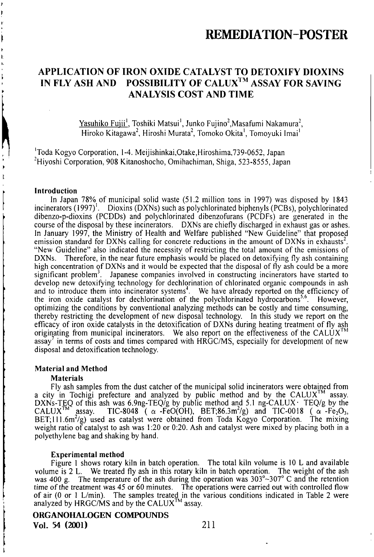## APPLICATION OF IRON OXIDE CATALYST TO DETOXIFY DIOXINS IN FLY ASH AND POSSIBILITY OF CALUX™ ASSAY FOR SAVING ANALYSIS COST AND TIME

Yasuhiko Fujii<sup>1</sup>, Toshiki Matsui<sup>1</sup>, Junko Fujino<sup>2</sup>, Masafumi Nakamura<sup>2</sup>, Hiroko Kitagawa", Hiroshi Murata", Tomoko Okila', Tomoyuki Imai'

'Toda Kogyo Corporation, 1-4. Meijishinkai,Otake,Hiroshima,739-0652, Japan <sup>2</sup>Hiyoshi Corporation, 908 Kitanoshocho, Omihachiman, Shiga, 523-8555, Japan

### Introduction

In Japan 78% of municipal solid waste (51.2 million tons in 1997) was disposed by 1843 incinerators (1997)<sup>1</sup>. Dioxins (DXNs) such as polychlorinated biphenyls (PCBs), polychlorinated dibenzo-p-dioxins (PCDDs) and polychlorinated dibenzofurans (PCDFs) are generated in the course ofthe disposal by these incinerators. DXNs are chiefly discharged in exhaust gas or ashes. In January 1997, the Ministry of Heallh and Welfare published "New Guideline" that proposed emission standard for DXNs calling for concrete reductions in the amount of DXNs in exhausts<sup>2</sup>. "New Guideline" also indicated the necessity of restricting the lotal amount of the emissions of DXNs. Therefore, in the near future emphasis would be placed on detoxifying fly ash containing high concentration of DXNs and it would be expected that the disposal of fly ash could be a more significant problem<sup>3</sup>. Japanese companies involved in constructing incinerators have started to develop new detoxifying technology for dechlorination of chlorinated organic compounds in ash and to introduce them into incinerator systems<sup>4</sup>. We have already reported on the efficiency of the iron oxide catalyst for dechlorination of the polychlorinated hydrocarbons<sup>5,6</sup>. However, optimizing the conditions by conventional analyzing methods can be costly and time consuming, thereby restricting the development of new disposal technology. In this sludy we report on the efficacy of iron oxide catalysis in the detoxification of DXNs during heating treatment of fly ash originating from municipal incinerators. We also report on the effectiveness of the CALUX<sup>TM</sup> assay' in terms of costs and times compared with  $HRGC/MS$ , especially for development of new disposal and detoxification technology.

### Material and Method

#### **Materials**

Fly ash samples from the dust catcher of the municipal solid incinerators were obtained from a city in Tochigi prefecture and analyzed by public method and by the CALUX<sup>TM</sup> assay. DXNs-TEQ of this ash was 6.9ng-TEQ/g by public method and 5.1 ng-CALUX TEQ/g by the CALUX<sup>IM</sup> assay. TIC-8048 ( $\alpha$ -FeO(OH), BET;86.3m<sup>2</sup>/g) and TIC-0018 ( $\alpha$ -Fe<sub>2</sub>O<sub>3</sub>, BET; 111.6m'/g) used as catalyst were obtained from Toda Kogyo Corporation. The mixing weight ratio of catalyst to ash was 1:20 or 0:20. Ash and catalyst were mixed by placing both in a polyethylene bag and shaking by hand.

#### Experimental method

Figure 1 shows rotary kiln in batch operation. The total kiln volume is 10 L and available volume is 2 L. We treated fly ash in this rotary kiln in batch operation. The weight ofthe ash was 400 g. The temperature of the ash during the operation was  $303^{\circ}$   $307^{\circ}$  C and the retention time of the treatment was 45 or 60 minutes. The operations were carried out with controlled flow of air  $(0 \text{ or } 1 \text{ L/min})$ . The samples treated in the various conditions indicated in Table 2 were analyzed by HRGC/MS and by the CALUX<sup>TM</sup> assay.

## ORGANOHALOGEN COMPOUNDS Vol. 54 (2001) 211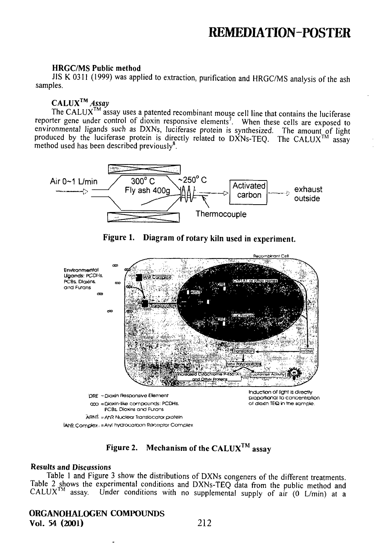### **HRGC/MS Public method**

JIS K 0311 (1999) was applied to extraction, purification and HRGC/MS analysis of the ash samples.

## $CALUX^{TM}$  Assay

The CALUX<sup>TM</sup> assay uses a patented recombinant mouse cell line that contains the luciferase reporter gene under control of dioxin responsive elements<sup>7</sup>. When these cells are exposed to<br>environmental ligands such as DXNs, luciferase protein is synthesized. The amount<sub>ro</sub>of light produced by the luciferase protein is directly related to DXNs-TEQ. The CALUX<sup>TM</sup> assay method used has been described previously<sup>8</sup>.



Figure 1. Diagram of rotary kiln used in experiment.



Figure 2. Mechanism of the CALUX<sup>TM</sup> assay

## **Results and Discussions**

Table 1 and Figure 3 show the distributions of DXNs congeners of the different treatments. Table 2 shows the experimental conditions and DXNs-TEQ data from the public method and CALUX<sup>TM</sup> assay. Under conditions with no supplemental supply of air (0 L/min) at a

## **ORGANOHALOGEN COMPOUNDS** Vol. 54 (2001)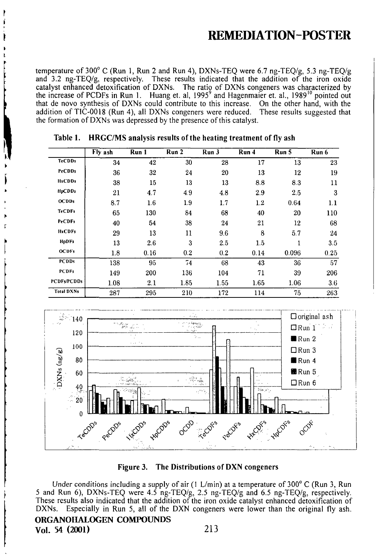temperature of 300° C (Run 1, Run 2 and Run 4), DXNs-TEQ were 6.7 ng-TEQ/g, 5.3 ng-TEQ/g and 3.2 ng-TEQ/g, respectively. These results indicated that the addition of the iron oxide catalyst enhanced detoxification of DXNs. The ratio of DXNs congeners was characterized by the increase of PCDFs in Run 1. Huang et. al., 1995<sup>9</sup> and Hagenmaier et. al., 1989<sup>10</sup> pointed out that de novo synthesis of DXNs could contribute to this increase. On the other hand, with the addition of TIC-0018 (Run 4), all DXNs congeners were reduced. These results suggested that the formation of DXNs was depressed by the presence of this catalyst.

|                    | Fly ash | Run 1 | Run 2 | Run 3 | Run 4 | Run 5 | Run 6 |
|--------------------|---------|-------|-------|-------|-------|-------|-------|
| <b>TeCDDs</b>      | 34      | 42    | 30    | 28    | 17    | 13    | 23    |
| <b>PeCDDs</b>      | 36      | 32    | 24    | 20    | 13    | 12    | 19    |
| <b>HxCDDs</b>      | 38      | 15    | 13    | 13    | 8.8   | 83    | 11    |
| <b>HpCDDs</b>      | 21      | 4.7   | 4.9   | 4.8   | 2.9   | 2.5   | 3     |
| OCDDs              | 8.7     | 1.6   | 1.9   | 1.7   | 1.2   | 0.64  | 1.1   |
| <b>TeCDFs</b>      | 65      | 130   | 84    | 68    | 40    | 20    | 110   |
| <b>PeCDFs</b>      | 40      | 54    | 38    | 24    | 21    | 12    | 68    |
| <b>HxCDFs</b>      | 29      | 13    | 11    | 9.6   | 8     | 5.7   | 24    |
| <b>HpDFs</b>       | 13      | 2.6   | 3     | 2.5   | 1.5   | 1     | 3.5   |
| <b>OCDFs</b>       | 1.8     | 0.16  | 0.2   | 0.2   | 0.14  | 0.096 | 0.25  |
| <b>PCDDs</b>       | 138     | 95    | 74    | 68    | 43    | 36    | 57    |
| <b>PCDFs</b>       | 149     | 200   | 136   | 104   | 71    | 39    | 206   |
| <b>PCDFs/PCDDs</b> | 1.08    | 2,1   | 1.85  | 1.55  | 1.65  | 1.06  | 3.6   |
| <b>Total DXNs</b>  | 287     | 295   | 210   | 172   | 114   | 75    | 263   |

HRGC/MS analysis results of the heating treatment of fly ash Table 1.



Figure 3. The Distributions of DXN congeners

Under conditions including a supply of air (1 L/min) at a temperature of 300 $^{\circ}$  C (Run 3, Run 5 and Run 6), DXNs-TEQ were 4.5 ng-TEQ/g, 2.5 ng-TEQ/g and 6.5 ng-TEQ/g, respectively. These results also indicated that the addition of the iron oxide catalyst enhanced detoxification of DXNs. Especially in Run 5, all of the DXN congeners were lower than the original fly ash.

## ORGANOHALOGEN COMPOUNDS

Vol. 54 (2001)